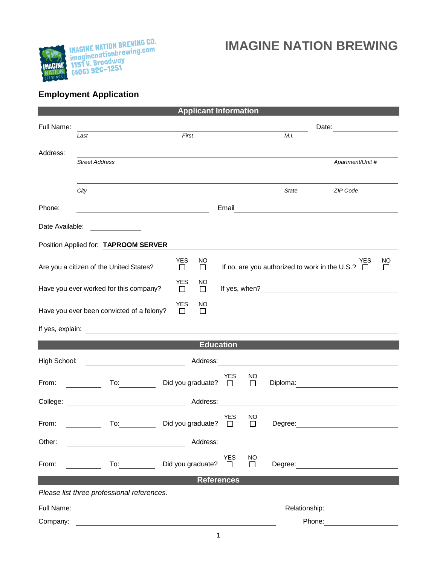

## **IMAGINE NATION BREWING**

## **Employment Application**

|                                                                                                                              |                                                                                                                                                                                                                                      | <b>Applicant Information</b>    |                            |                                                                                                                                                                                                                               |                                                                                                                                                                                                                                |              |
|------------------------------------------------------------------------------------------------------------------------------|--------------------------------------------------------------------------------------------------------------------------------------------------------------------------------------------------------------------------------------|---------------------------------|----------------------------|-------------------------------------------------------------------------------------------------------------------------------------------------------------------------------------------------------------------------------|--------------------------------------------------------------------------------------------------------------------------------------------------------------------------------------------------------------------------------|--------------|
| Full Name:                                                                                                                   |                                                                                                                                                                                                                                      |                                 |                            | Date: and the state of the state of the state of the state of the state of the state of the state of the state of the state of the state of the state of the state of the state of the state of the state of the state of the |                                                                                                                                                                                                                                |              |
|                                                                                                                              | Last                                                                                                                                                                                                                                 | First                           |                            | M.I.                                                                                                                                                                                                                          |                                                                                                                                                                                                                                |              |
| Address:                                                                                                                     |                                                                                                                                                                                                                                      |                                 |                            |                                                                                                                                                                                                                               |                                                                                                                                                                                                                                |              |
|                                                                                                                              | <b>Street Address</b>                                                                                                                                                                                                                |                                 |                            |                                                                                                                                                                                                                               | Apartment/Unit #                                                                                                                                                                                                               |              |
|                                                                                                                              | City                                                                                                                                                                                                                                 |                                 |                            | State                                                                                                                                                                                                                         | ZIP Code                                                                                                                                                                                                                       |              |
|                                                                                                                              |                                                                                                                                                                                                                                      |                                 |                            |                                                                                                                                                                                                                               |                                                                                                                                                                                                                                |              |
| Phone:                                                                                                                       |                                                                                                                                                                                                                                      |                                 |                            |                                                                                                                                                                                                                               | Email <u>__________________________________</u>                                                                                                                                                                                |              |
| Date Available:                                                                                                              | <u> Albanya di Bandari Bandari Bandari Bandari Bandari Bandari Bandari Bandari Bandari Bandari Bandari Bandari Bandari Bandari Bandari Bandari Bandari Bandari Bandari Bandari Bandari Bandari Bandari Bandari Bandari Bandari B</u> |                                 |                            |                                                                                                                                                                                                                               |                                                                                                                                                                                                                                |              |
|                                                                                                                              | Position Applied for: TAPROOM SERVER                                                                                                                                                                                                 |                                 |                            |                                                                                                                                                                                                                               |                                                                                                                                                                                                                                |              |
|                                                                                                                              | Are you a citizen of the United States?                                                                                                                                                                                              | <b>YES</b><br>NO<br>$\Box$<br>□ |                            |                                                                                                                                                                                                                               | YES<br>If no, are you authorized to work in the U.S.? $\Box$                                                                                                                                                                   | NO<br>$\Box$ |
| <b>YES</b><br><b>NO</b><br>Have you ever worked for this company?<br>$\Box$<br>$\Box$                                        |                                                                                                                                                                                                                                      |                                 |                            |                                                                                                                                                                                                                               |                                                                                                                                                                                                                                |              |
| YES<br><b>NO</b><br>Have you ever been convicted of a felony?<br>□<br>□                                                      |                                                                                                                                                                                                                                      |                                 |                            |                                                                                                                                                                                                                               |                                                                                                                                                                                                                                |              |
|                                                                                                                              |                                                                                                                                                                                                                                      |                                 |                            |                                                                                                                                                                                                                               |                                                                                                                                                                                                                                |              |
| <b>Education</b>                                                                                                             |                                                                                                                                                                                                                                      |                                 |                            |                                                                                                                                                                                                                               |                                                                                                                                                                                                                                |              |
| High School:                                                                                                                 | <u> 1980 - Johann Barbara, martin a</u>                                                                                                                                                                                              | Address:                        |                            |                                                                                                                                                                                                                               | <u> 1980 - Andrea Andrew Maria (h. 1980).</u><br>1901 - Andrew Maria (h. 1902).                                                                                                                                                |              |
| From:                                                                                                                        | To: the contract of the contract of the contract of the contract of the contract of the contract of the contract of the contract of the contract of the contract of the contract of the contract of the contract of the contra       | Did you graduate? $\square$     | <b>YES</b><br>NO<br>$\Box$ |                                                                                                                                                                                                                               | Diploma: the contract of the contract of the contract of the contract of the contract of the contract of the contract of the contract of the contract of the contract of the contract of the contract of the contract of the c |              |
| Address:<br>College:                                                                                                         |                                                                                                                                                                                                                                      |                                 |                            |                                                                                                                                                                                                                               |                                                                                                                                                                                                                                |              |
| From:                                                                                                                        | To:                                                                                                                                                                                                                                  | Did you graduate?               | YES<br>NO<br>$\Box$<br>П   | Degree:                                                                                                                                                                                                                       |                                                                                                                                                                                                                                |              |
| Other:<br>Address:                                                                                                           |                                                                                                                                                                                                                                      |                                 |                            |                                                                                                                                                                                                                               |                                                                                                                                                                                                                                |              |
|                                                                                                                              |                                                                                                                                                                                                                                      |                                 | <b>YES</b><br>NO.          |                                                                                                                                                                                                                               |                                                                                                                                                                                                                                |              |
| From:                                                                                                                        | $\overline{10}$ :                                                                                                                                                                                                                    | Did you graduate?               | $\Box$<br>$\Box$           |                                                                                                                                                                                                                               | Degree: the contract of the contract of the contract of the contract of the contract of the contract of the contract of the contract of the contract of the contract of the contract of the contract of the contract of the co |              |
| <b>References</b>                                                                                                            |                                                                                                                                                                                                                                      |                                 |                            |                                                                                                                                                                                                                               |                                                                                                                                                                                                                                |              |
| Please list three professional references.                                                                                   |                                                                                                                                                                                                                                      |                                 |                            |                                                                                                                                                                                                                               |                                                                                                                                                                                                                                |              |
| Full Name:                                                                                                                   | <u> 1980 - Johann Stoff, deutscher Stoffen und der Stoffen und der Stoffen und der Stoffen und der Stoffen und de</u>                                                                                                                |                                 |                            |                                                                                                                                                                                                                               | Relationship: 2000                                                                                                                                                                                                             |              |
| Company:<br>and the control of the control of the control of the control of the control of the control of the control of the |                                                                                                                                                                                                                                      |                                 |                            |                                                                                                                                                                                                                               |                                                                                                                                                                                                                                |              |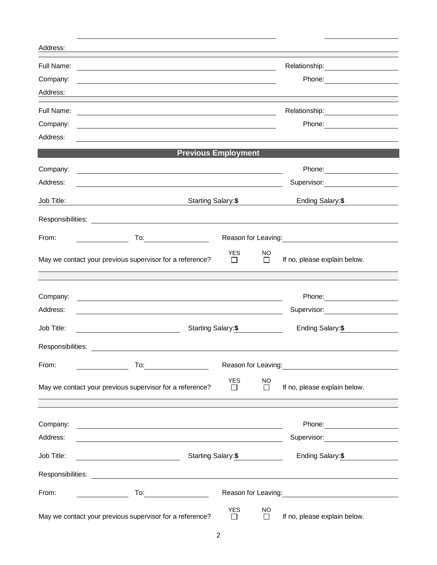| Address:          |                                                                                                                                                                                                                                                                                                                                                                                                                                                                          |                      |                     |                                                |
|-------------------|--------------------------------------------------------------------------------------------------------------------------------------------------------------------------------------------------------------------------------------------------------------------------------------------------------------------------------------------------------------------------------------------------------------------------------------------------------------------------|----------------------|---------------------|------------------------------------------------|
| Full Name:        | <u> 1980 - Andrea Stadt Britain, amerikansk politik (* 1950)</u>                                                                                                                                                                                                                                                                                                                                                                                                         |                      |                     | Relationship: ______________________           |
| Company:          |                                                                                                                                                                                                                                                                                                                                                                                                                                                                          |                      |                     |                                                |
| Address:          |                                                                                                                                                                                                                                                                                                                                                                                                                                                                          |                      |                     |                                                |
| Full Name:        |                                                                                                                                                                                                                                                                                                                                                                                                                                                                          |                      |                     |                                                |
| Company:          | and the control of the control of the control of the control of the control of the control of the control of the                                                                                                                                                                                                                                                                                                                                                         |                      |                     |                                                |
| Address:          |                                                                                                                                                                                                                                                                                                                                                                                                                                                                          |                      |                     |                                                |
|                   | <b>Previous Employment</b>                                                                                                                                                                                                                                                                                                                                                                                                                                               |                      |                     |                                                |
| Company:          | <u> 1989 - Johann Barn, fransk politik (f. 1989)</u>                                                                                                                                                                                                                                                                                                                                                                                                                     |                      |                     |                                                |
| Address:          |                                                                                                                                                                                                                                                                                                                                                                                                                                                                          |                      |                     | Supervisor: _______________________            |
| Job Title:        | <u> 1980 - Johann Barnett, fransk politik (</u>                                                                                                                                                                                                                                                                                                                                                                                                                          | Starting Salary: \$  |                     |                                                |
|                   |                                                                                                                                                                                                                                                                                                                                                                                                                                                                          |                      |                     |                                                |
| From:             | To: the contract of the contract of the contract of the contract of the contract of the contract of the contract of the contract of the contract of the contract of the contract of the contract of the contract of the contra<br>Reason for Leaving:<br><u>Next and the summan manuscript of the summan manuscript of the summan manuscript of the summan manuscript of the summan manuscript of the summan manuscript of the summan manuscript of the summan manus</u> |                      |                     |                                                |
|                   | May we contact your previous supervisor for a reference?                                                                                                                                                                                                                                                                                                                                                                                                                 | <b>YES</b><br>$\Box$ | NO.<br>$\Box$       | If no, please explain below.                   |
|                   |                                                                                                                                                                                                                                                                                                                                                                                                                                                                          |                      |                     |                                                |
| Company:          | <u> 1980 - Jan Samuel Barbara, martin di sebagai personal di sebagai personal di sebagai personal di sebagai per</u>                                                                                                                                                                                                                                                                                                                                                     |                      |                     |                                                |
| Address:          |                                                                                                                                                                                                                                                                                                                                                                                                                                                                          |                      |                     | Supervisor: Victor Communication Communication |
| Job Title:        |                                                                                                                                                                                                                                                                                                                                                                                                                                                                          | Starting Salary: \$  |                     |                                                |
| Responsibilities: | <u> 1980 - Jan Samuel Barbara, martin di</u>                                                                                                                                                                                                                                                                                                                                                                                                                             |                      |                     |                                                |
| From:             | To:                                                                                                                                                                                                                                                                                                                                                                                                                                                                      |                      |                     | Reason for Leaving: <b>Example 2018</b>        |
|                   | May we contact your previous supervisor for a reference?                                                                                                                                                                                                                                                                                                                                                                                                                 | <b>YES</b><br>ΙI     | <b>NO</b><br>□      | If no, please explain below.                   |
|                   |                                                                                                                                                                                                                                                                                                                                                                                                                                                                          |                      |                     |                                                |
| Company:          | <u> 1989 - Johann Stein, fransk politik (d. 1989)</u>                                                                                                                                                                                                                                                                                                                                                                                                                    |                      |                     |                                                |
| Address:          | <u> 1980 - Johann Barn, fransk politik (f. 1980)</u>                                                                                                                                                                                                                                                                                                                                                                                                                     |                      |                     |                                                |
| Job Title:        | Starting Salary: \$                                                                                                                                                                                                                                                                                                                                                                                                                                                      |                      |                     | Ending Salary: \$                              |
|                   |                                                                                                                                                                                                                                                                                                                                                                                                                                                                          |                      |                     |                                                |
| From:             |                                                                                                                                                                                                                                                                                                                                                                                                                                                                          |                      |                     |                                                |
|                   | May we contact your previous supervisor for a reference?                                                                                                                                                                                                                                                                                                                                                                                                                 | <b>YES</b><br>$\Box$ | <b>NO</b><br>$\Box$ | If no, please explain below.                   |